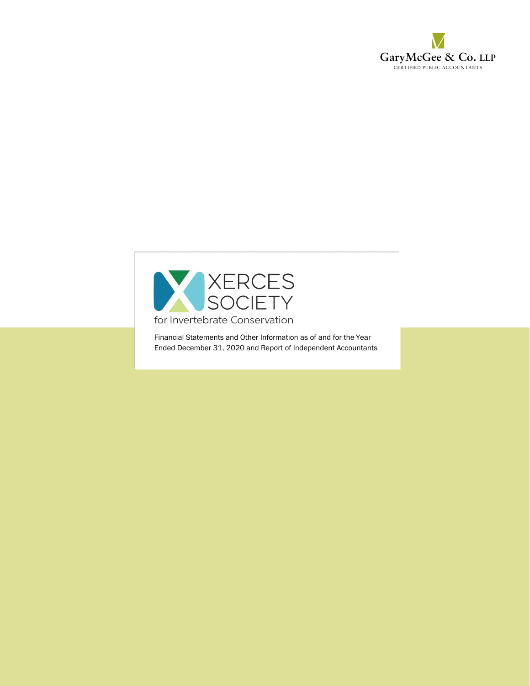



Financial Statements and Other Information as of and for the Year Ended December 31, 2020 and Report of Independent Accountants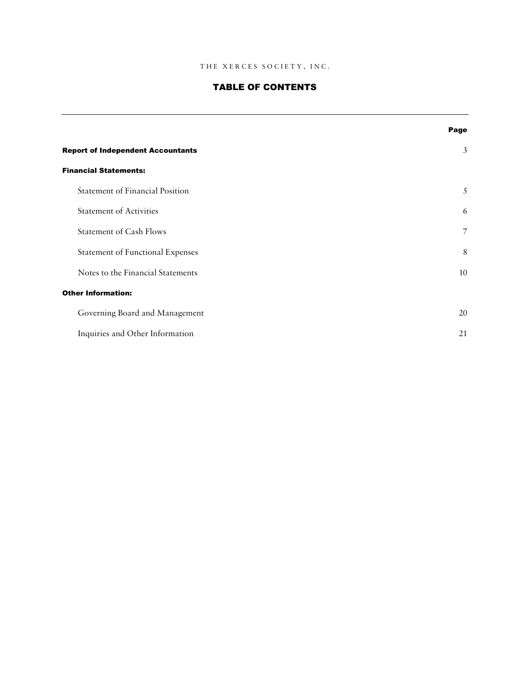# TABLE OF CONTENTS

|                                          | Page |
|------------------------------------------|------|
| <b>Report of Independent Accountants</b> | 3    |
| <b>Financial Statements:</b>             |      |
| <b>Statement of Financial Position</b>   | 5    |
| <b>Statement of Activities</b>           | 6    |
| <b>Statement of Cash Flows</b>           | 7    |
| <b>Statement of Functional Expenses</b>  | 8    |
| Notes to the Financial Statements        | 10   |
| <b>Other Information:</b>                |      |
| Governing Board and Management           | 20   |
| Inquiries and Other Information          | 21   |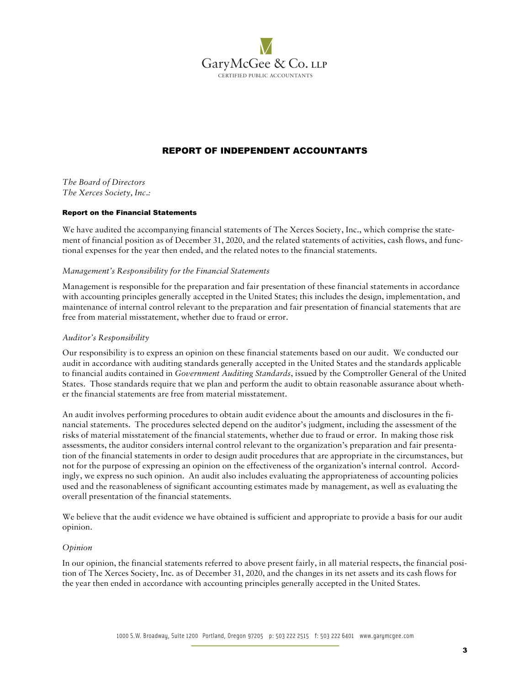

## REPORT OF INDEPENDENT ACCOUNTANTS

*The Board of Directors The Xerces Society, Inc.:* 

### Report on the Financial Statements

We have audited the accompanying financial statements of The Xerces Society, Inc., which comprise the statement of financial position as of December 31, 2020, and the related statements of activities, cash flows, and functional expenses for the year then ended, and the related notes to the financial statements.

### *Management's Responsibility for the Financial Statements*

Management is responsible for the preparation and fair presentation of these financial statements in accordance with accounting principles generally accepted in the United States; this includes the design, implementation, and maintenance of internal control relevant to the preparation and fair presentation of financial statements that are free from material misstatement, whether due to fraud or error.

#### *Auditor's Responsibility*

Our responsibility is to express an opinion on these financial statements based on our audit. We conducted our audit in accordance with auditing standards generally accepted in the United States and the standards applicable to financial audits contained in *Government Auditing Standards*, issued by the Comptroller General of the United States. Those standards require that we plan and perform the audit to obtain reasonable assurance about whether the financial statements are free from material misstatement.

An audit involves performing procedures to obtain audit evidence about the amounts and disclosures in the financial statements. The procedures selected depend on the auditor's judgment, including the assessment of the risks of material misstatement of the financial statements, whether due to fraud or error. In making those risk assessments, the auditor considers internal control relevant to the organization's preparation and fair presentation of the financial statements in order to design audit procedures that are appropriate in the circumstances, but not for the purpose of expressing an opinion on the effectiveness of the organization's internal control. Accordingly, we express no such opinion. An audit also includes evaluating the appropriateness of accounting policies used and the reasonableness of significant accounting estimates made by management, as well as evaluating the overall presentation of the financial statements.

We believe that the audit evidence we have obtained is sufficient and appropriate to provide a basis for our audit opinion.

#### *Opinion*

In our opinion, the financial statements referred to above present fairly, in all material respects, the financial position of The Xerces Society, Inc. as of December 31, 2020, and the changes in its net assets and its cash flows for the year then ended in accordance with accounting principles generally accepted in the United States.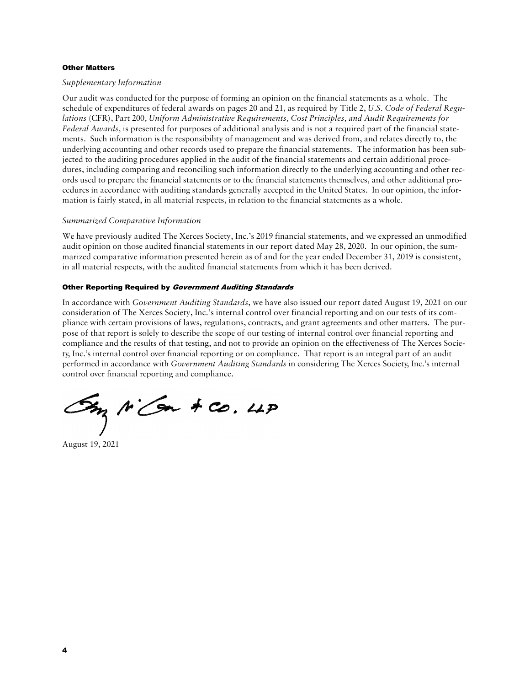## Other Matters

#### *Supplementary Information*

Our audit was conducted for the purpose of forming an opinion on the financial statements as a whole. The schedule of expenditures of federal awards on pages 20 and 21, as required by Title 2, *U.S. Code of Federal Regulations* (CFR), Part 200*, Uniform Administrative Requirements, Cost Principles, and Audit Requirements for Federal Awards,* is presented for purposes of additional analysis and is not a required part of the financial statements. Such information is the responsibility of management and was derived from, and relates directly to, the underlying accounting and other records used to prepare the financial statements. The information has been subjected to the auditing procedures applied in the audit of the financial statements and certain additional procedures, including comparing and reconciling such information directly to the underlying accounting and other records used to prepare the financial statements or to the financial statements themselves, and other additional procedures in accordance with auditing standards generally accepted in the United States. In our opinion, the information is fairly stated, in all material respects, in relation to the financial statements as a whole.

#### *Summarized Comparative Information*

We have previously audited The Xerces Society, Inc.'s 2019 financial statements, and we expressed an unmodified audit opinion on those audited financial statements in our report dated May 28, 2020. In our opinion, the summarized comparative information presented herein as of and for the year ended December 31, 2019 is consistent, in all material respects, with the audited financial statements from which it has been derived.

#### Other Reporting Required by Government Auditing Standards

In accordance with *Government Auditing Standards*, we have also issued our report dated August 19, 2021 on our consideration of The Xerces Society, Inc.'s internal control over financial reporting and on our tests of its compliance with certain provisions of laws, regulations, contracts, and grant agreements and other matters. The purpose of that report is solely to describe the scope of our testing of internal control over financial reporting and compliance and the results of that testing, and not to provide an opinion on the effectiveness of The Xerces Society, Inc.'s internal control over financial reporting or on compliance. That report is an integral part of an audit performed in accordance with *Government Auditing Standards* in considering The Xerces Society, Inc.'s internal control over financial reporting and compliance.

 $\mathcal{S}_n$  N  $\zeta_n$  + co. 4P

August 19, 2021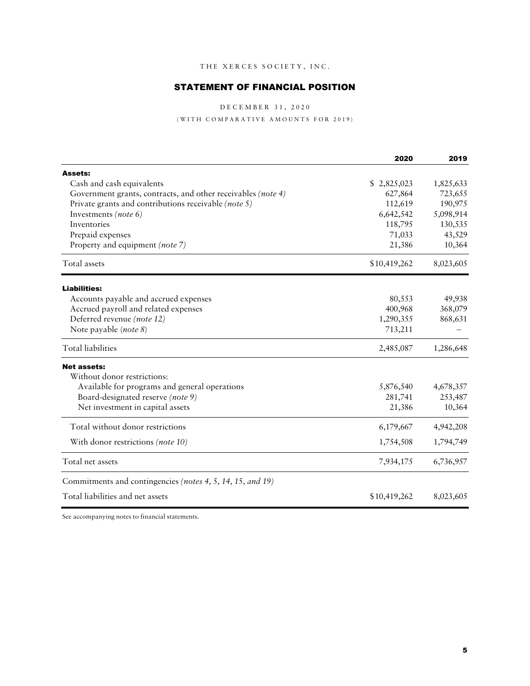## STATEMENT OF FINANCIAL POSITION

D E C E M B E R 3 1 , 2 0 2 0

 $(\hbox{\tt WITH~COMPARATIVE~AMOUNTS~FOR~2019})$ 

|                                                              | 2020         | 2019      |
|--------------------------------------------------------------|--------------|-----------|
| <b>Assets:</b>                                               |              |           |
| Cash and cash equivalents                                    | \$2,825,023  | 1,825,633 |
| Government grants, contracts, and other receivables (note 4) | 627,864      | 723,655   |
| Private grants and contributions receivable (note 5)         | 112,619      | 190,975   |
| Investments (note 6)                                         | 6,642,542    | 5,098,914 |
| Inventories                                                  | 118,795      | 130,535   |
| Prepaid expenses                                             | 71,033       | 43,529    |
| Property and equipment (note 7)                              | 21,386       | 10,364    |
| Total assets                                                 | \$10,419,262 | 8,023,605 |
| <b>Liabilities:</b>                                          |              |           |
| Accounts payable and accrued expenses                        | 80,553       | 49,938    |
| Accrued payroll and related expenses                         | 400,968      | 368,079   |
| Deferred revenue (note 12)                                   | 1,290,355    | 868,631   |
| Note payable (note 8)                                        | 713,211      |           |
| <b>Total</b> liabilities                                     | 2,485,087    | 1,286,648 |
| <b>Net assets:</b>                                           |              |           |
| Without donor restrictions:                                  |              |           |
| Available for programs and general operations                | 5,876,540    | 4,678,357 |
| Board-designated reserve (note 9)                            | 281,741      | 253,487   |
| Net investment in capital assets                             | 21,386       | 10,364    |
| Total without donor restrictions                             | 6,179,667    | 4,942,208 |
| With donor restrictions (note 10)                            | 1,754,508    | 1,794,749 |
| Total net assets                                             | 7,934,175    | 6,736,957 |
| Commitments and contingencies (notes 4, 5, 14, 15, and 19)   |              |           |
| Total liabilities and net assets                             | \$10,419,262 | 8,023,605 |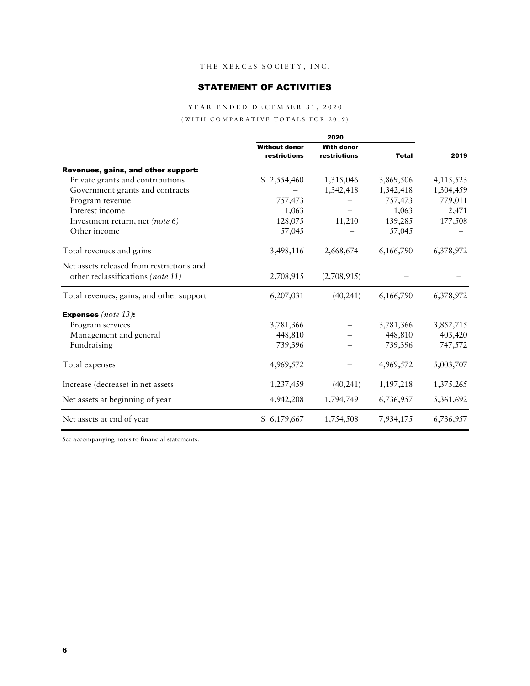## STATEMENT OF ACTIVITIES

YEAR ENDED DECEMBER 31, 2020

 $(\,\mathop{\mathtt{WITH}}\, \mathop{\mathtt{COMPARATIVE}}\, \mathop{\mathtt{TOTALS}}\, \mathop{\mathtt{FOR}}\, \mathop{\mathtt{2019}}\,)$ 

|                                            | <b>Without donor</b><br>restrictions | <b>With donor</b><br>restrictions | <b>Total</b> | 2019      |
|--------------------------------------------|--------------------------------------|-----------------------------------|--------------|-----------|
| Revenues, gains, and other support:        |                                      |                                   |              |           |
| Private grants and contributions           | \$2,554,460                          | 1,315,046                         | 3,869,506    | 4,115,523 |
| Government grants and contracts            |                                      | 1,342,418                         | 1,342,418    | 1,304,459 |
| Program revenue                            | 757,473                              |                                   | 757,473      | 779,011   |
| Interest income                            | 1,063                                |                                   | 1,063        | 2,471     |
| Investment return, net ( <i>note</i> $6$ ) | 128,075                              | 11,210                            | 139,285      | 177,508   |
| Other income                               | 57,045                               |                                   | 57,045       |           |
| Total revenues and gains                   | 3,498,116                            | 2,668,674                         | 6,166,790    | 6,378,972 |
| Net assets released from restrictions and  |                                      |                                   |              |           |
| other reclassifications (note 11)          | 2,708,915                            | (2,708,915)                       |              |           |
| Total revenues, gains, and other support   | 6,207,031                            | (40,241)                          | 6,166,790    | 6,378,972 |
| <b>Expenses</b> (note $13$ ):              |                                      |                                   |              |           |
| Program services                           | 3,781,366                            |                                   | 3,781,366    | 3,852,715 |
| Management and general                     | 448,810                              |                                   | 448,810      | 403,420   |
| Fundraising                                | 739,396                              |                                   | 739,396      | 747,572   |
| Total expenses                             | 4,969,572                            |                                   | 4,969,572    | 5,003,707 |
| Increase (decrease) in net assets          | 1,237,459                            | (40,241)                          | 1, 197, 218  | 1,375,265 |
| Net assets at beginning of year            | 4,942,208                            | 1,794,749                         | 6,736,957    | 5,361,692 |
| Net assets at end of year                  | \$6,179,667                          | 1,754,508                         | 7,934,175    | 6,736,957 |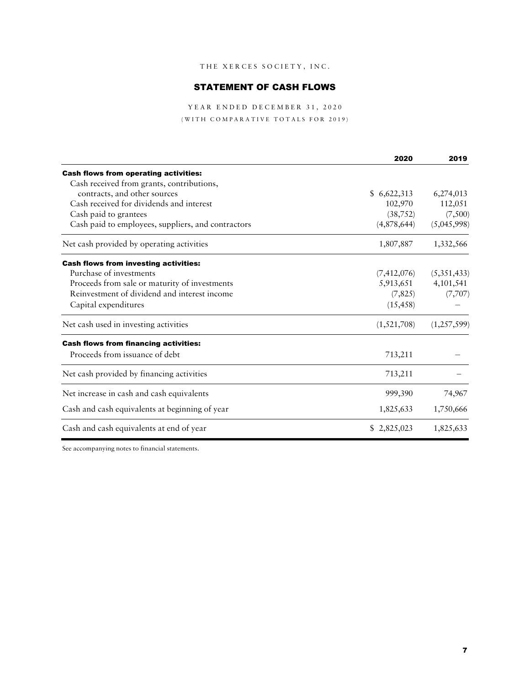## STATEMENT OF CASH FLOWS

YEAR ENDED DECEMBER 31, 2020

 $(WITH COMPARATIVE TOTALS FOR 2019)$ 

|                                                    | 2020          | 2019        |
|----------------------------------------------------|---------------|-------------|
| <b>Cash flows from operating activities:</b>       |               |             |
| Cash received from grants, contributions,          |               |             |
| contracts, and other sources                       | \$6,622,313   | 6,274,013   |
| Cash received for dividends and interest           | 102,970       | 112,051     |
| Cash paid to grantees                              | (38,752)      | (7,500)     |
| Cash paid to employees, suppliers, and contractors | (4,878,644)   | (5,045,998) |
| Net cash provided by operating activities          | 1,807,887     | 1,332,566   |
| <b>Cash flows from investing activities:</b>       |               |             |
| Purchase of investments                            | (7, 412, 076) | (5,351,433) |
| Proceeds from sale or maturity of investments      | 5,913,651     | 4,101,541   |
| Reinvestment of dividend and interest income       | (7,825)       | (7,707)     |
| Capital expenditures                               | (15, 458)     |             |
| Net cash used in investing activities              | (1,521,708)   | (1,257,599) |
| <b>Cash flows from financing activities:</b>       |               |             |
| Proceeds from issuance of debt                     | 713,211       |             |
| Net cash provided by financing activities          | 713,211       |             |
| Net increase in cash and cash equivalents          | 999,390       | 74,967      |
| Cash and cash equivalents at beginning of year     | 1,825,633     | 1,750,666   |
| Cash and cash equivalents at end of year           | \$2,825,023   | 1,825,633   |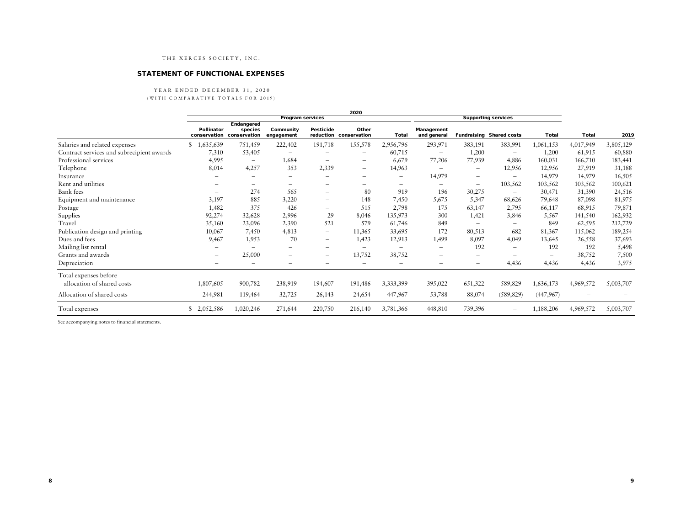#### STATEMENT OF FUNCTIONAL EXPENSES

YEAR ENDED DECEMBER 31, 2020 (WITH COMPARATIVE TOTALS FOR 2019)

|                                           |                                         |                          |                          |                          | 2020                            |                          |                           |                          |                              |                 |           |           |
|-------------------------------------------|-----------------------------------------|--------------------------|--------------------------|--------------------------|---------------------------------|--------------------------|---------------------------|--------------------------|------------------------------|-----------------|-----------|-----------|
|                                           |                                         | Endangered               | <b>Program services</b>  |                          |                                 |                          |                           |                          | <b>Supporting services</b>   |                 |           |           |
|                                           | Pollinator<br>conservation conservation | species                  | Community<br>engagement  | <b>Pesticide</b>         | Other<br>reduction conservation | Total                    | Management<br>and general |                          | Fundraising Shared costs     | Total           | Total     | 2019      |
| Salaries and related expenses             | \$1,635,639                             | 751,459                  | 222,402                  | 191,718                  | 155,578                         | 2,956,796                | 293,971                   | 383,191                  | 383,991                      | 1,061,153       | 4,017,949 | 3,805,129 |
| Contract services and subrecipient awards | 7,310                                   | 53,405                   | $\qquad \qquad -$        | -                        | $\overline{\phantom{0}}$        | 60,715                   | $\qquad \qquad -$         | 1,200                    | $\overline{\phantom{a}}$     | 1,200           | 61,915    | 60,880    |
| Professional services                     | 4,995                                   | $\qquad \qquad -$        | 1,684                    | $\overline{\phantom{a}}$ | $\qquad \qquad \blacksquare$    | 6,679                    | 77,206                    | 77,939                   | 4,886                        | 160,031         | 166,710   | 183,441   |
| Telephone                                 | 8,014                                   | 4,257                    | 353                      | 2,339                    | $\qquad \qquad -$               | 14,963                   | $\qquad \qquad$           | -                        | 12,956                       | 12,956          | 27,919    | 31,188    |
| Insurance                                 | -                                       | $\qquad \qquad$          | $-$                      | $\overline{\phantom{a}}$ | $\qquad \qquad$                 | $\overline{\phantom{m}}$ | 14,979                    | $\overline{\phantom{0}}$ | $\overline{\phantom{a}}$     | 14,979          | 14,979    | 16,505    |
| Rent and utilities                        | $\overline{\phantom{0}}$                | $\overline{\phantom{0}}$ | $\overline{\phantom{0}}$ | $\overline{\phantom{a}}$ | $\overline{\phantom{0}}$        | $\qquad \qquad -$        | $-$                       | -                        | 103,562                      | 103,562         | 103,562   | 100,621   |
| Bank fees                                 | $\overline{\phantom{0}}$                | 274                      | 565                      | $\overline{\phantom{a}}$ | 80                              | 919                      | 196                       | 30,275                   | $\overline{\phantom{a}}$     | 30,471          | 31,390    | 24,516    |
| Equipment and maintenance                 | 3,197                                   | 885                      | 3,220                    | $\hspace{1.0cm} \bar{}$  | 148                             | 7,450                    | 5,675                     | 5,347                    | 68,626                       | 79,648          | 87,098    | 81,975    |
| Postage                                   | 1,482                                   | 375                      | 426                      | $\overline{\phantom{a}}$ | 515                             | 2,798                    | 175                       | 63,147                   | 2,795                        | 66,117          | 68,915    | 79,871    |
| Supplies                                  | 92,274                                  | 32,628                   | 2,996                    | 29                       | 8,046                           | 135,973                  | 300                       | 1,421                    | 3,846                        | 5,567           | 141,540   | 162,932   |
| Travel                                    | 35,160                                  | 23,096                   | 2,390                    | 521                      | 579                             | 61,746                   | 849                       | $\overline{\phantom{0}}$ | $\overline{\phantom{0}}$     | 849             | 62,595    | 212,729   |
| Publication design and printing           | 10,067                                  | 7,450                    | 4,813                    | $\overline{\phantom{m}}$ | 11,365                          | 33,695                   | 172                       | 80,513                   | 682                          | 81,367          | 115,062   | 189,254   |
| Dues and fees                             | 9,467                                   | 1,953                    | 70                       | $\overline{\phantom{a}}$ | 1,423                           | 12,913                   | 1,499                     | 8,097                    | 4,049                        | 13,645          | 26,558    | 37,693    |
| Mailing list rental                       |                                         | -                        | -                        | $\overline{\phantom{a}}$ | -                               | $\qquad \qquad -$        | $\qquad \qquad -$         | 192                      | $\qquad \qquad \blacksquare$ | 192             | 192       | 5,498     |
| Grants and awards                         | -                                       | 25,000                   | -                        | $\hspace{1.0cm} \bar{}$  | 13,752                          | 38,752                   | $\overline{\phantom{0}}$  | $-$                      | $\overline{\phantom{0}}$     | $\qquad \qquad$ | 38,752    | 7,500     |
| Depreciation                              | -                                       |                          |                          |                          | -                               |                          | -                         | -                        | 4,436                        | 4,436           | 4,436     | 3,975     |
| Total expenses before                     |                                         |                          |                          |                          |                                 |                          |                           |                          |                              |                 |           |           |
| allocation of shared costs                | 1,807,605                               | 900,782                  | 238,919                  | 194,607                  | 191,486                         | 3,333,399                | 395,022                   | 651,322                  | 589,829                      | 1,636,173       | 4,969,572 | 5,003,707 |
| Allocation of shared costs                | 244,981                                 | 119,464                  | 32,725                   | 26,143                   | 24,654                          | 447,967                  | 53,788                    | 88,074                   | (589, 829)                   | (447, 967)      |           |           |
| Total expenses                            | 2,052,586<br>S.                         | 1,020,246                | 271,644                  | 220,750                  | 216,140                         | 3,781,366                | 448,810                   | 739,396                  | $\overline{\phantom{m}}$     | 1,188,206       | 4,969,572 | 5,003,707 |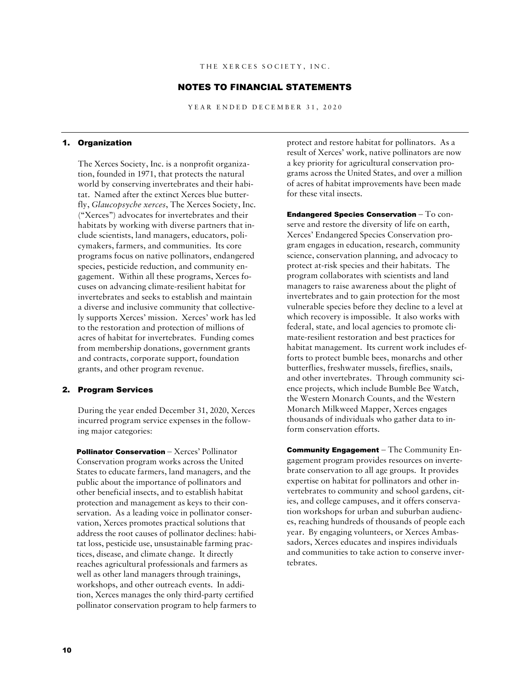### NOTES TO FINANCIAL STATEMENTS

YEAR ENDED DECEMBER 31, 2020

### 1. Organization

The Xerces Society, Inc. is a nonprofit organization, founded in 1971, that protects the natural world by conserving invertebrates and their habitat. Named after the extinct Xerces blue butterfly, *Glaucopsyche xerces*, The Xerces Society, Inc. ("Xerces") advocates for invertebrates and their habitats by working with diverse partners that include scientists, land managers, educators, policymakers, farmers, and communities. Its core programs focus on native pollinators, endangered species, pesticide reduction, and community engagement. Within all these programs, Xerces focuses on advancing climate-resilient habitat for invertebrates and seeks to establish and maintain a diverse and inclusive community that collectively supports Xerces' mission. Xerces' work has led to the restoration and protection of millions of acres of habitat for invertebrates. Funding comes from membership donations, government grants and contracts, corporate support, foundation grants, and other program revenue.

#### 2. Program Services

During the year ended December 31, 2020, Xerces incurred program service expenses in the following major categories:

Pollinator Conservation - Xerces' Pollinator Conservation program works across the United States to educate farmers, land managers, and the public about the importance of pollinators and other beneficial insects, and to establish habitat protection and management as keys to their conservation. As a leading voice in pollinator conservation, Xerces promotes practical solutions that address the root causes of pollinator declines: habitat loss, pesticide use, unsustainable farming practices, disease, and climate change. It directly reaches agricultural professionals and farmers as well as other land managers through trainings, workshops, and other outreach events. In addition, Xerces manages the only third-party certified pollinator conservation program to help farmers to

protect and restore habitat for pollinators. As a result of Xerces' work, native pollinators are now a key priority for agricultural conservation programs across the United States, and over a million of acres of habitat improvements have been made for these vital insects.

Endangered Species Conservation – To conserve and restore the diversity of life on earth, Xerces' Endangered Species Conservation program engages in education, research, community science, conservation planning, and advocacy to protect at-risk species and their habitats. The program collaborates with scientists and land managers to raise awareness about the plight of invertebrates and to gain protection for the most vulnerable species before they decline to a level at which recovery is impossible. It also works with federal, state, and local agencies to promote climate-resilient restoration and best practices for habitat management. Its current work includes efforts to protect bumble bees, monarchs and other butterflies, freshwater mussels, fireflies, snails, and other invertebrates. Through community science projects, which include Bumble Bee Watch, the Western Monarch Counts, and the Western Monarch Milkweed Mapper, Xerces engages thousands of individuals who gather data to inform conservation efforts.

Community Engagement – The Community Engagement program provides resources on invertebrate conservation to all age groups. It provides expertise on habitat for pollinators and other invertebrates to community and school gardens, cities, and college campuses, and it offers conservation workshops for urban and suburban audiences, reaching hundreds of thousands of people each year. By engaging volunteers, or Xerces Ambassadors, Xerces educates and inspires individuals and communities to take action to conserve invertebrates.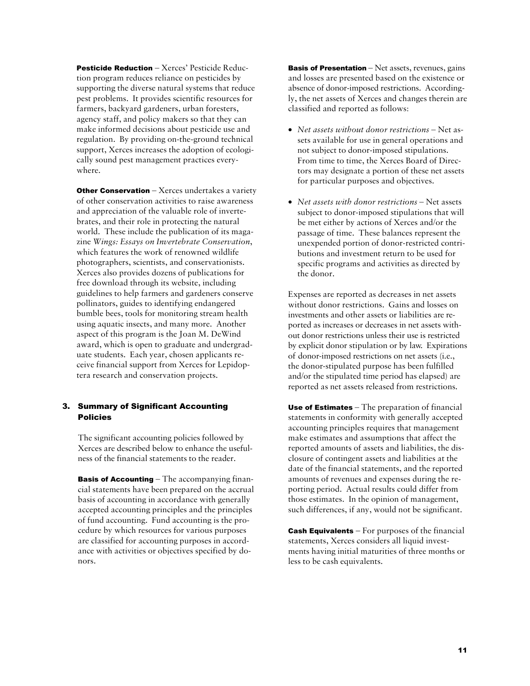Pesticide Reduction - Xerces' Pesticide Reduction program reduces reliance on pesticides by supporting the diverse natural systems that reduce pest problems. It provides scientific resources for farmers, backyard gardeners, urban foresters, agency staff, and policy makers so that they can make informed decisions about pesticide use and regulation. By providing on-the-ground technical support, Xerces increases the adoption of ecologically sound pest management practices everywhere.

**Other Conservation** – Xerces undertakes a variety of other conservation activities to raise awareness and appreciation of the valuable role of invertebrates, and their role in protecting the natural world. These include the publication of its magazine *Wings: Essays on Invertebrate Conservation*, which features the work of renowned wildlife photographers, scientists, and conservationists. Xerces also provides dozens of publications for free download through its website, including guidelines to help farmers and gardeners conserve pollinators, guides to identifying endangered bumble bees, tools for monitoring stream health using aquatic insects, and many more. Another aspect of this program is the Joan M. DeWind award, which is open to graduate and undergraduate students. Each year, chosen applicants receive financial support from Xerces for Lepidoptera research and conservation projects.

### 3. Summary of Significant Accounting Policies

The significant accounting policies followed by Xerces are described below to enhance the usefulness of the financial statements to the reader.

**Basis of Accounting**  $-$  The accompanying financial statements have been prepared on the accrual basis of accounting in accordance with generally accepted accounting principles and the principles of fund accounting. Fund accounting is the procedure by which resources for various purposes are classified for accounting purposes in accordance with activities or objectives specified by donors.

**Basis of Presentation**  $-$  Net assets, revenues, gains and losses are presented based on the existence or absence of donor-imposed restrictions. Accordingly, the net assets of Xerces and changes therein are classified and reported as follows:

- *Net assets without donor restrictions*  Net assets available for use in general operations and not subject to donor-imposed stipulations. From time to time, the Xerces Board of Directors may designate a portion of these net assets for particular purposes and objectives.
- *Net assets with donor restrictions* Net assets subject to donor-imposed stipulations that will be met either by actions of Xerces and/or the passage of time. These balances represent the unexpended portion of donor-restricted contributions and investment return to be used for specific programs and activities as directed by the donor.

Expenses are reported as decreases in net assets without donor restrictions. Gains and losses on investments and other assets or liabilities are reported as increases or decreases in net assets without donor restrictions unless their use is restricted by explicit donor stipulation or by law. Expirations of donor-imposed restrictions on net assets (i.e., the donor-stipulated purpose has been fulfilled and/or the stipulated time period has elapsed) are reported as net assets released from restrictions.

Use of Estimates – The preparation of financial statements in conformity with generally accepted accounting principles requires that management make estimates and assumptions that affect the reported amounts of assets and liabilities, the disclosure of contingent assets and liabilities at the date of the financial statements, and the reported amounts of revenues and expenses during the reporting period. Actual results could differ from those estimates. In the opinion of management, such differences, if any, would not be significant.

**Cash Equivalents**  $-$  For purposes of the financial statements, Xerces considers all liquid investments having initial maturities of three months or less to be cash equivalents.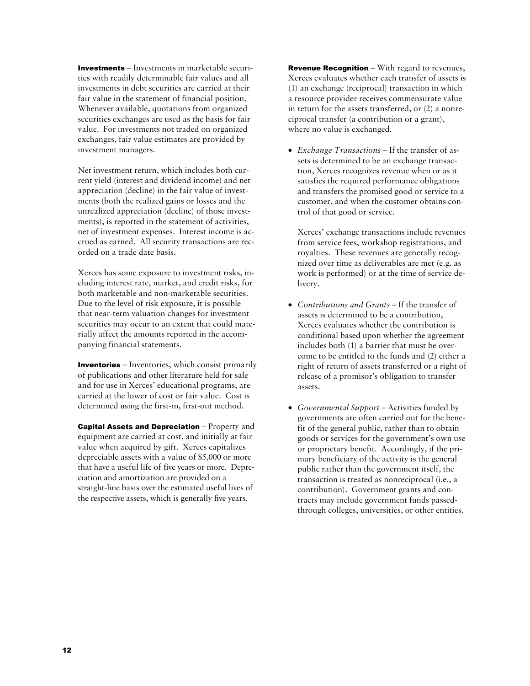Investments – Investments in marketable securities with readily determinable fair values and all investments in debt securities are carried at their fair value in the statement of financial position. Whenever available, quotations from organized securities exchanges are used as the basis for fair value. For investments not traded on organized exchanges, fair value estimates are provided by investment managers.

Net investment return, which includes both current yield (interest and dividend income) and net appreciation (decline) in the fair value of investments (both the realized gains or losses and the unrealized appreciation (decline) of those investments), is reported in the statement of activities, net of investment expenses. Interest income is accrued as earned. All security transactions are recorded on a trade date basis.

Xerces has some exposure to investment risks, including interest rate, market, and credit risks, for both marketable and non-marketable securities. Due to the level of risk exposure, it is possible that near-term valuation changes for investment securities may occur to an extent that could materially affect the amounts reported in the accompanying financial statements.

**Inventories** – Inventories, which consist primarily of publications and other literature held for sale and for use in Xerces' educational programs, are carried at the lower of cost or fair value. Cost is determined using the first-in, first-out method.

Capital Assets and Depreciation – Property and equipment are carried at cost, and initially at fair value when acquired by gift. Xerces capitalizes depreciable assets with a value of \$5,000 or more that have a useful life of five years or more. Depreciation and amortization are provided on a straight-line basis over the estimated useful lives of the respective assets, which is generally five years.

Revenue Recognition – With regard to revenues, Xerces evaluates whether each transfer of assets is (1) an exchange (reciprocal) transaction in which a resource provider receives commensurate value in return for the assets transferred, or (2) a nonreciprocal transfer (a contribution or a grant), where no value is exchanged.

 *Exchange Transactions* – If the transfer of assets is determined to be an exchange transaction, Xerces recognizes revenue when or as it satisfies the required performance obligations and transfers the promised good or service to a customer, and when the customer obtains control of that good or service.

Xerces' exchange transactions include revenues from service fees, workshop registrations, and royalties. These revenues are generally recognized over time as deliverables are met (e.g. as work is performed) or at the time of service delivery.

- *Contributions and Grants* If the transfer of assets is determined to be a contribution, Xerces evaluates whether the contribution is conditional based upon whether the agreement includes both (1) a barrier that must be overcome to be entitled to the funds and (2) either a right of return of assets transferred or a right of release of a promisor's obligation to transfer assets.
- *Governmental Support* Activities funded by governments are often carried out for the benefit of the general public, rather than to obtain goods or services for the government's own use or proprietary benefit. Accordingly, if the primary beneficiary of the activity is the general public rather than the government itself, the transaction is treated as nonreciprocal (i.e., a contribution). Government grants and contracts may include government funds passedthrough colleges, universities, or other entities.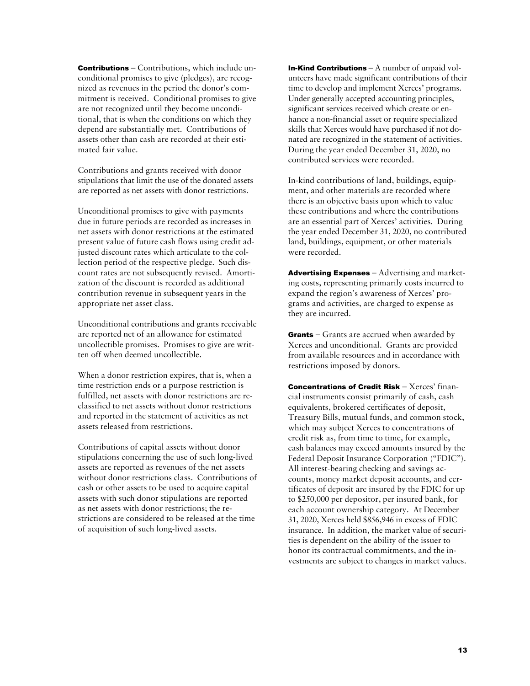Contributions – Contributions, which include unconditional promises to give (pledges), are recognized as revenues in the period the donor's commitment is received. Conditional promises to give are not recognized until they become unconditional, that is when the conditions on which they depend are substantially met. Contributions of assets other than cash are recorded at their estimated fair value.

Contributions and grants received with donor stipulations that limit the use of the donated assets are reported as net assets with donor restrictions.

Unconditional promises to give with payments due in future periods are recorded as increases in net assets with donor restrictions at the estimated present value of future cash flows using credit adjusted discount rates which articulate to the collection period of the respective pledge. Such discount rates are not subsequently revised. Amortization of the discount is recorded as additional contribution revenue in subsequent years in the appropriate net asset class.

Unconditional contributions and grants receivable are reported net of an allowance for estimated uncollectible promises. Promises to give are written off when deemed uncollectible.

When a donor restriction expires, that is, when a time restriction ends or a purpose restriction is fulfilled, net assets with donor restrictions are reclassified to net assets without donor restrictions and reported in the statement of activities as net assets released from restrictions.

Contributions of capital assets without donor stipulations concerning the use of such long-lived assets are reported as revenues of the net assets without donor restrictions class. Contributions of cash or other assets to be used to acquire capital assets with such donor stipulations are reported as net assets with donor restrictions; the restrictions are considered to be released at the time of acquisition of such long-lived assets.

In-Kind Contributions – A number of unpaid volunteers have made significant contributions of their time to develop and implement Xerces' programs. Under generally accepted accounting principles, significant services received which create or enhance a non-financial asset or require specialized skills that Xerces would have purchased if not donated are recognized in the statement of activities. During the year ended December 31, 2020, no contributed services were recorded.

In-kind contributions of land, buildings, equipment, and other materials are recorded where there is an objective basis upon which to value these contributions and where the contributions are an essential part of Xerces' activities. During the year ended December 31, 2020, no contributed land, buildings, equipment, or other materials were recorded.

Advertising Expenses – Advertising and marketing costs, representing primarily costs incurred to expand the region's awareness of Xerces' programs and activities, are charged to expense as they are incurred.

**Grants**  $-$  Grants are accrued when awarded by Xerces and unconditional. Grants are provided from available resources and in accordance with restrictions imposed by donors.

**Concentrations of Credit Risk**  $-$  Xerces' financial instruments consist primarily of cash, cash equivalents, brokered certificates of deposit, Treasury Bills, mutual funds, and common stock, which may subject Xerces to concentrations of credit risk as, from time to time, for example, cash balances may exceed amounts insured by the Federal Deposit Insurance Corporation ("FDIC"). All interest-bearing checking and savings accounts, money market deposit accounts, and certificates of deposit are insured by the FDIC for up to \$250,000 per depositor, per insured bank, for each account ownership category. At December 31, 2020, Xerces held \$856,946 in excess of FDIC insurance. In addition, the market value of securities is dependent on the ability of the issuer to honor its contractual commitments, and the investments are subject to changes in market values.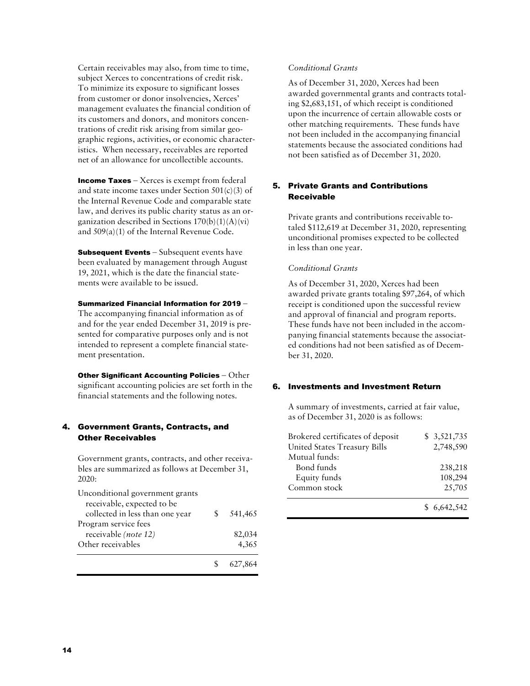Certain receivables may also, from time to time, subject Xerces to concentrations of credit risk. To minimize its exposure to significant losses from customer or donor insolvencies, Xerces' management evaluates the financial condition of its customers and donors, and monitors concentrations of credit risk arising from similar geographic regions, activities, or economic characteristics. When necessary, receivables are reported net of an allowance for uncollectible accounts.

Income Taxes – Xerces is exempt from federal and state income taxes under Section  $501(c)(3)$  of the Internal Revenue Code and comparable state law, and derives its public charity status as an organization described in Sections  $170(b)(1)(A)(vi)$ and 509(a)(1) of the Internal Revenue Code.

Subsequent Events - Subsequent events have been evaluated by management through August 19, 2021, which is the date the financial statements were available to be issued.

Summarized Financial Information for 2019 – The accompanying financial information as of and for the year ended December 31, 2019 is presented for comparative purposes only and is not intended to represent a complete financial statement presentation.

**Other Significant Accounting Policies** – Other significant accounting policies are set forth in the financial statements and the following notes.

## 4. Government Grants, Contracts, and Other Receivables

Government grants, contracts, and other receivables are summarized as follows at December 31, 2020:

| Unconditional government grants |         |
|---------------------------------|---------|
| receivable, expected to be      |         |
| collected in less than one year | 541,465 |
| Program service fees            |         |
| receivable (note 12)            | 82,034  |
| Other receivables               | 4,365   |
|                                 | 627,864 |

### *Conditional Grants*

As of December 31, 2020, Xerces had been awarded governmental grants and contracts totaling \$2,683,151, of which receipt is conditioned upon the incurrence of certain allowable costs or other matching requirements. These funds have not been included in the accompanying financial statements because the associated conditions had not been satisfied as of December 31, 2020.

## 5. Private Grants and Contributions Receivable

Private grants and contributions receivable totaled \$112,619 at December 31, 2020, representing unconditional promises expected to be collected in less than one year.

### *Conditional Grants*

As of December 31, 2020, Xerces had been awarded private grants totaling \$97,264, of which receipt is conditioned upon the successful review and approval of financial and program reports. These funds have not been included in the accompanying financial statements because the associated conditions had not been satisfied as of December 31, 2020.

### 6. Investments and Investment Return

A summary of investments, carried at fair value, as of December 31, 2020 is as follows:

| Brokered certificates of deposit | \$3,521,735 |
|----------------------------------|-------------|
| United States Treasury Bills     | 2,748,590   |
| Mutual funds:                    |             |
| Bond funds                       | 238,218     |
| Equity funds                     | 108,294     |
| Common stock                     | 25,705      |
|                                  | \$6,642,542 |
|                                  |             |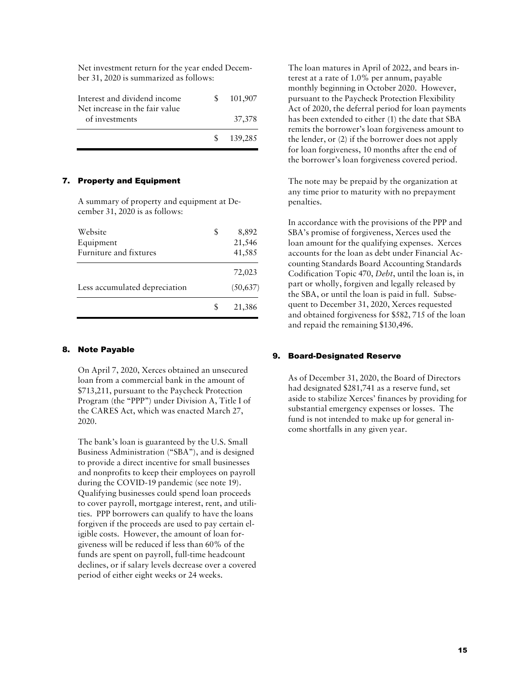Net investment return for the year ended December 31, 2020 is summarized as follows:

| Interest and dividend income                     | \$101,907           |
|--------------------------------------------------|---------------------|
| Net increase in the fair value<br>of investments | 37,378              |
|                                                  | $\frac{139.285}{2}$ |

### 7. Property and Equipment

A summary of property and equipment at December 31, 2020 is as follows:

| Website                       | 8,892     |
|-------------------------------|-----------|
| Equipment                     | 21,546    |
| Furniture and fixtures        | 41,585    |
|                               | 72,023    |
| Less accumulated depreciation | (50, 637) |
|                               | 21,386    |

#### 8. Note Payable

On April 7, 2020, Xerces obtained an unsecured loan from a commercial bank in the amount of \$713,211, pursuant to the Paycheck Protection Program (the "PPP") under Division A, Title I of the CARES Act, which was enacted March 27, 2020.

The bank's loan is guaranteed by the U.S. Small Business Administration ("SBA"), and is designed to provide a direct incentive for small businesses and nonprofits to keep their employees on payroll during the COVID-19 pandemic (see note 19). Qualifying businesses could spend loan proceeds to cover payroll, mortgage interest, rent, and utilities. PPP borrowers can qualify to have the loans forgiven if the proceeds are used to pay certain eligible costs. However, the amount of loan forgiveness will be reduced if less than 60% of the funds are spent on payroll, full-time headcount declines, or if salary levels decrease over a covered period of either eight weeks or 24 weeks.

The loan matures in April of 2022, and bears interest at a rate of 1.0% per annum, payable monthly beginning in October 2020. However, pursuant to the Paycheck Protection Flexibility Act of 2020, the deferral period for loan payments has been extended to either (1) the date that SBA remits the borrower's loan forgiveness amount to the lender, or (2) if the borrower does not apply for loan forgiveness, 10 months after the end of the borrower's loan forgiveness covered period.

The note may be prepaid by the organization at any time prior to maturity with no prepayment penalties.

In accordance with the provisions of the PPP and SBA's promise of forgiveness, Xerces used the loan amount for the qualifying expenses. Xerces accounts for the loan as debt under Financial Accounting Standards Board Accounting Standards Codification Topic 470, *Debt*, until the loan is, in part or wholly, forgiven and legally released by the SBA, or until the loan is paid in full. Subsequent to December 31, 2020, Xerces requested and obtained forgiveness for \$582, 715 of the loan and repaid the remaining \$130,496.

### 9. Board-Designated Reserve

As of December 31, 2020, the Board of Directors had designated \$281,741 as a reserve fund, set aside to stabilize Xerces' finances by providing for substantial emergency expenses or losses. The fund is not intended to make up for general income shortfalls in any given year.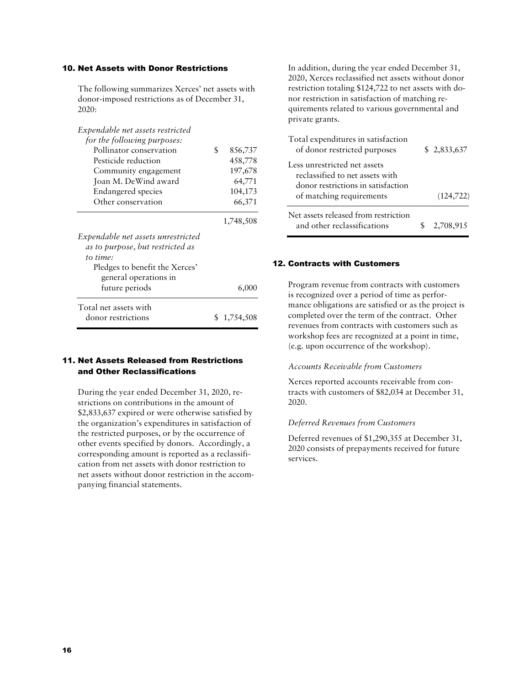# 10. Net Assets with Donor Restrictions

The following summarizes Xerces' net assets with donor-imposed restrictions as of December 31, 2020:

| Expendable net assets restricted   |    |           |
|------------------------------------|----|-----------|
| for the following purposes:        |    |           |
| Pollinator conservation            | \$ | 856,737   |
| Pesticide reduction                |    | 458,778   |
| Community engagement               |    | 197,678   |
| Joan M. DeWind award               |    | 64,771    |
| Endangered species                 |    | 104,173   |
| Other conservation                 |    | 66,371    |
|                                    |    | 1,748,508 |
| Expendable net assets unrestricted |    |           |
| as to purpose, but restricted as   |    |           |
| to time:                           |    |           |
| Pledges to benefit the Xerces'     |    |           |
| general operations in              |    |           |
| future periods                     |    | 6,000     |
| Total net assets with              |    |           |
| donor restrictions                 | S  | 1,754,508 |

## 11. Net Assets Released from Restrictions and Other Reclassifications

During the year ended December 31, 2020, restrictions on contributions in the amount of \$2,833,637 expired or were otherwise satisfied by the organization's expenditures in satisfaction of the restricted purposes, or by the occurrence of other events specified by donors. Accordingly, a corresponding amount is reported as a reclassification from net assets with donor restriction to net assets without donor restriction in the accompanying financial statements.

In addition, during the year ended December 31, 2020, Xerces reclassified net assets without donor restriction totaling \$124,722 to net assets with donor restriction in satisfaction of matching requirements related to various governmental and private grants.

| Total expenditures in satisfaction<br>of donor restricted purposes                                    | \$2,833,637 |
|-------------------------------------------------------------------------------------------------------|-------------|
| Less unrestricted net assets<br>reclassified to net assets with<br>donor restrictions in satisfaction |             |
| of matching requirements                                                                              | (124, 722)  |
| Net assets released from restriction<br>and other reclassifications                                   | 2,708,915   |

### 12. Contracts with Customers

Program revenue from contracts with customers is recognized over a period of time as performance obligations are satisfied or as the project is completed over the term of the contract. Other revenues from contracts with customers such as workshop fees are recognized at a point in time, (e.g. upon occurrence of the workshop).

### *Accounts Receivable from Customers*

Xerces reported accounts receivable from contracts with customers of \$82,034 at December 31, 2020.

#### *Deferred Revenues from Customers*

Deferred revenues of \$1,290,355 at December 31, 2020 consists of prepayments received for future services.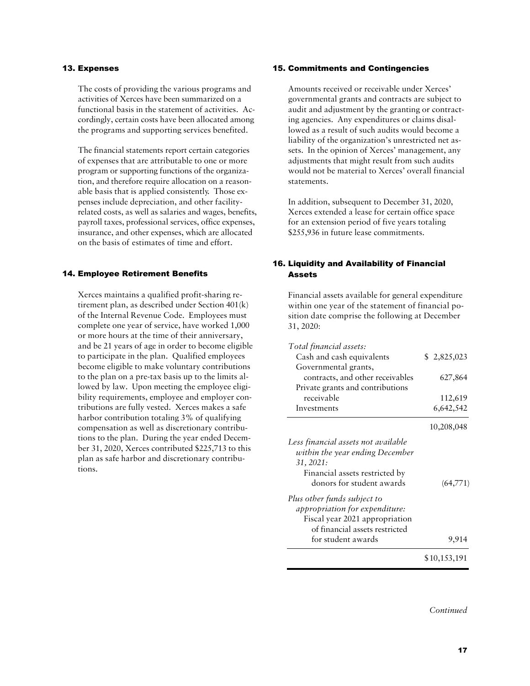### 13. Expenses

The costs of providing the various programs and activities of Xerces have been summarized on a functional basis in the statement of activities. Accordingly, certain costs have been allocated among the programs and supporting services benefited.

The financial statements report certain categories of expenses that are attributable to one or more program or supporting functions of the organization, and therefore require allocation on a reasonable basis that is applied consistently. Those expenses include depreciation, and other facilityrelated costs, as well as salaries and wages, benefits, payroll taxes, professional services, office expenses, insurance, and other expenses, which are allocated on the basis of estimates of time and effort.

#### 14. Employee Retirement Benefits

Xerces maintains a qualified profit-sharing retirement plan, as described under Section 401(k) of the Internal Revenue Code. Employees must complete one year of service, have worked 1,000 or more hours at the time of their anniversary, and be 21 years of age in order to become eligible to participate in the plan. Qualified employees become eligible to make voluntary contributions to the plan on a pre-tax basis up to the limits allowed by law. Upon meeting the employee eligibility requirements, employee and employer contributions are fully vested. Xerces makes a safe harbor contribution totaling 3% of qualifying compensation as well as discretionary contributions to the plan. During the year ended December 31, 2020, Xerces contributed \$225,713 to this plan as safe harbor and discretionary contributions.

#### 15. Commitments and Contingencies

Amounts received or receivable under Xerces' governmental grants and contracts are subject to audit and adjustment by the granting or contracting agencies. Any expenditures or claims disallowed as a result of such audits would become a liability of the organization's unrestricted net assets. In the opinion of Xerces' management, any adjustments that might result from such audits would not be material to Xerces' overall financial statements.

In addition, subsequent to December 31, 2020, Xerces extended a lease for certain office space for an extension period of five years totaling \$255,936 in future lease commitments.

## 16. Liquidity and Availability of Financial Assets

Financial assets available for general expenditure within one year of the statement of financial position date comprise the following at December 31, 2020:

| Total financial assets:                                                                                                                            |              |
|----------------------------------------------------------------------------------------------------------------------------------------------------|--------------|
| Cash and cash equivalents                                                                                                                          | \$2,825,023  |
| Governmental grants,<br>contracts, and other receivables<br>Private grants and contributions                                                       | 627,864      |
| receivable                                                                                                                                         | 112,619      |
| Investments                                                                                                                                        | 6,642,542    |
|                                                                                                                                                    | 10,208,048   |
| Less financial assets not available<br>within the year ending December<br>31, 2021:<br>Financial assets restricted by<br>donors for student awards | (64,771)     |
| Plus other funds subject to<br>appropriation for expenditure:<br>Fiscal year 2021 appropriation<br>of financial assets restricted                  |              |
| for student awards                                                                                                                                 | 9,914        |
|                                                                                                                                                    | \$10,153,191 |

*Continued*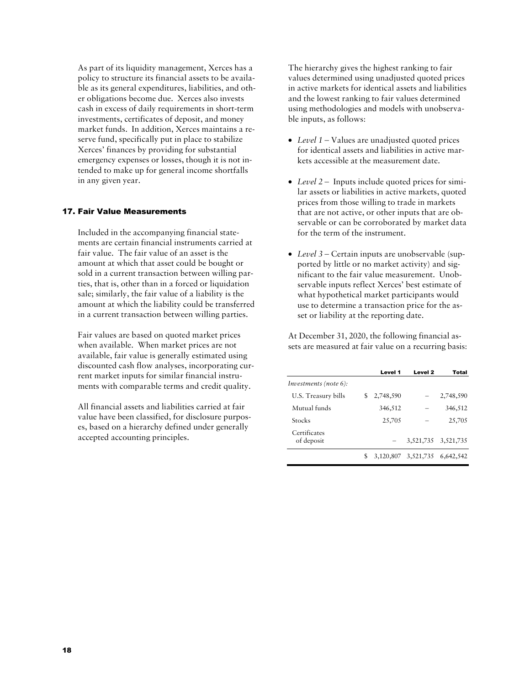As part of its liquidity management, Xerces has a policy to structure its financial assets to be available as its general expenditures, liabilities, and other obligations become due. Xerces also invests cash in excess of daily requirements in short-term investments, certificates of deposit, and money market funds. In addition, Xerces maintains a reserve fund, specifically put in place to stabilize Xerces' finances by providing for substantial emergency expenses or losses, though it is not intended to make up for general income shortfalls in any given year.

### 17. Fair Value Measurements

Included in the accompanying financial statements are certain financial instruments carried at fair value. The fair value of an asset is the amount at which that asset could be bought or sold in a current transaction between willing parties, that is, other than in a forced or liquidation sale; similarly, the fair value of a liability is the amount at which the liability could be transferred in a current transaction between willing parties.

Fair values are based on quoted market prices when available. When market prices are not available, fair value is generally estimated using discounted cash flow analyses, incorporating current market inputs for similar financial instruments with comparable terms and credit quality.

All financial assets and liabilities carried at fair value have been classified, for disclosure purposes, based on a hierarchy defined under generally accepted accounting principles.

The hierarchy gives the highest ranking to fair values determined using unadjusted quoted prices in active markets for identical assets and liabilities and the lowest ranking to fair values determined using methodologies and models with unobservable inputs, as follows:

- *Level 1* Values are unadjusted quoted prices for identical assets and liabilities in active markets accessible at the measurement date.
- Level 2 Inputs include quoted prices for similar assets or liabilities in active markets, quoted prices from those willing to trade in markets that are not active, or other inputs that are observable or can be corroborated by market data for the term of the instrument.
- *Level 3* Certain inputs are unobservable (supported by little or no market activity) and significant to the fair value measurement. Unobservable inputs reflect Xerces' best estimate of what hypothetical market participants would use to determine a transaction price for the asset or liability at the reporting date.

At December 31, 2020, the following financial assets are measured at fair value on a recurring basis:

|                            |   | Level 1   | Level 2             | Total     |
|----------------------------|---|-----------|---------------------|-----------|
| $Investments$ (note 6):    |   |           |                     |           |
| U.S. Treasury bills        | S | 2,748,590 |                     | 2,748,590 |
| Mutual funds               |   | 346,512   |                     | 346,512   |
| Stocks                     |   | 25,705    |                     | 25,705    |
| Certificates<br>of deposit |   |           | 3,521,735           | 3,521,735 |
|                            | S |           | 3,120,807 3,521,735 | 6,642,542 |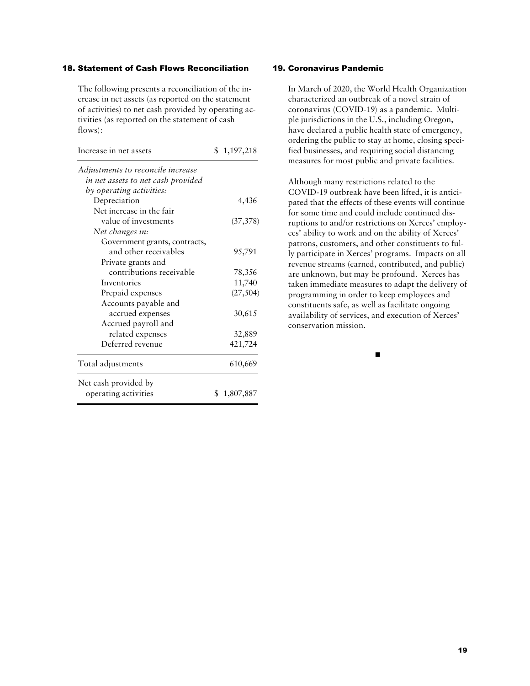### 18. Statement of Cash Flows Reconciliation

The following presents a reconciliation of the increase in net assets (as reported on the statement of activities) to net cash provided by operating activities (as reported on the statement of cash flows):

| Increase in net assets             | S | 1,197,218 |
|------------------------------------|---|-----------|
| Adjustments to reconcile increase  |   |           |
| in net assets to net cash provided |   |           |
| by operating activities:           |   |           |
| Depreciation                       |   | 4,436     |
| Net increase in the fair           |   |           |
| value of investments               |   | (37,378)  |
| Net changes in:                    |   |           |
| Government grants, contracts,      |   |           |
| and other receivables              |   | 95,791    |
| Private grants and                 |   |           |
| contributions receivable           |   | 78,356    |
| Inventories                        |   | 11,740    |
| Prepaid expenses                   |   | (27, 504) |
| Accounts payable and               |   |           |
| accrued expenses                   |   | 30,615    |
| Accrued payroll and                |   |           |
| related expenses                   |   | 32,889    |
| Deferred revenue                   |   | 421,724   |
| Total adjustments                  |   | 610,669   |
| Net cash provided by               |   |           |
| operating activities               | S | 1,807,887 |

### 19. Coronavirus Pandemic

In March of 2020, the World Health Organization characterized an outbreak of a novel strain of coronavirus (COVID-19) as a pandemic. Multiple jurisdictions in the U.S., including Oregon, have declared a public health state of emergency, ordering the public to stay at home, closing specified businesses, and requiring social distancing measures for most public and private facilities.

Although many restrictions related to the COVID-19 outbreak have been lifted, it is anticipated that the effects of these events will continue for some time and could include continued disruptions to and/or restrictions on Xerces' employees' ability to work and on the ability of Xerces' patrons, customers, and other constituents to fully participate in Xerces' programs. Impacts on all revenue streams (earned, contributed, and public) are unknown, but may be profound. Xerces has taken immediate measures to adapt the delivery of programming in order to keep employees and constituents safe, as well as facilitate ongoing availability of services, and execution of Xerces' conservation mission.

 $\blacksquare$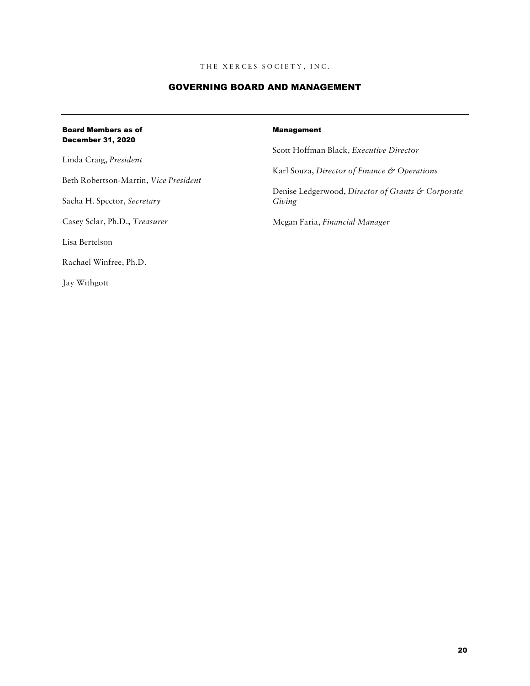## GOVERNING BOARD AND MANAGEMENT

| <b>Board Members as of</b><br><b>December 31, 2020</b> | <b>Management</b>                                           |
|--------------------------------------------------------|-------------------------------------------------------------|
| Linda Craig, <i>President</i>                          | Scott Hoffman Black, Executive Director                     |
| Beth Robertson-Martin, Vice President                  | Karl Souza, Director of Finance & Operations                |
| Sacha H. Spector, Secretary                            | Denise Ledgerwood, Director of Grants & Corporate<br>Giving |
| Casey Sclar, Ph.D., Treasurer                          | Megan Faria, Financial Manager                              |
| Lisa Bertelson                                         |                                                             |
| Rachael Winfree, Ph.D.                                 |                                                             |
| Jay Withgott                                           |                                                             |